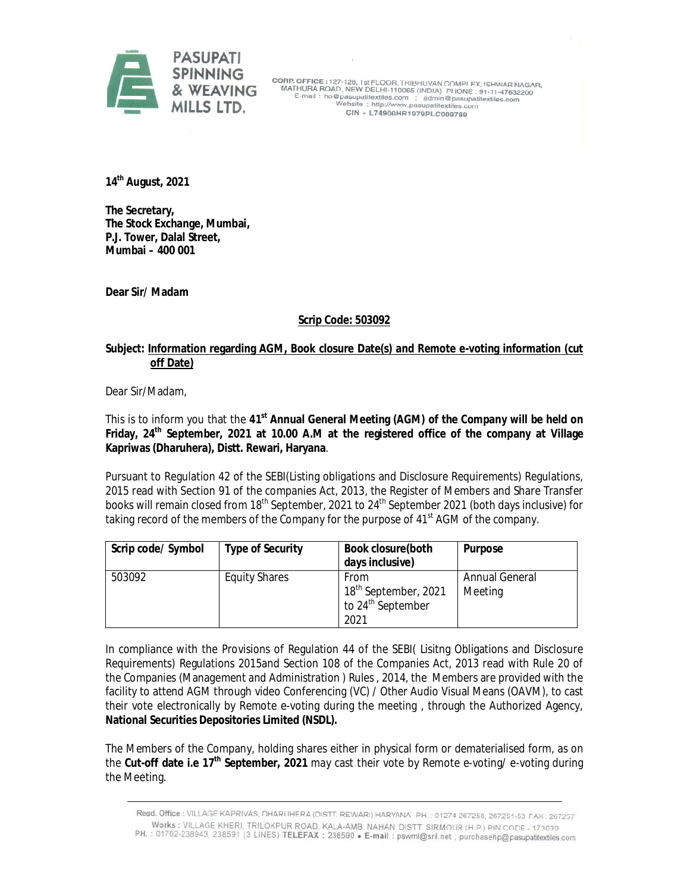

**CORP. OFFICE:** 127-128, 1st FLOOR, TRIBHUVAN COMPLEX, ISHWAR NAGAR,<br>MATHURA ROAD, NEW DELHI-110065 (INDIA) PHONE: 91-11-47632200<br>E-mail: ho@pasupatitextiles.com ; admin@pasupatitextiles.com<br>Website: http://www.pasupatite CIN - L74900HR1979PLC009789

**14th August, 2021**

**The Secretary, The Stock Exchange, Mumbai, P.J. Tower, Dalal Street, Mumbai – 400 001**

**Dear Sir/ Madam**

## **Scrip Code: 503092**

## **Subject: Information regarding AGM, Book closure Date(s) and Remote e-voting information (cut off Date)**

Dear Sir/Madam,

This is to inform you that the 41<sup>st</sup> Annual General Meeting (AGM) of the Company will be held on **Friday, 24th September, 2021 at 10.00 A.M at the registered office of the company at Village Kapriwas (Dharuhera), Distt. Rewari, Haryana**.

Pursuant to Regulation 42 of the SEBI(Listing obligations and Disclosure Requirements) Regulations, 2015 read with Section 91 of the companies Act, 2013, the Register of Members and Share Transfer books will remain closed from 18<sup>th</sup> September, 2021 to 24<sup>th</sup> September 2021 (both days inclusive) for taking record of the members of the Company for the purpose of 41<sup>st</sup> AGM of the company.

| Scrip code/ Symbol | <b>Type of Security</b> | <b>Book closure (both</b><br>days inclusive)                                      | <b>Purpose</b>            |
|--------------------|-------------------------|-----------------------------------------------------------------------------------|---------------------------|
| 503092             | <b>Equity Shares</b>    | From<br>18 <sup>th</sup> September, 2021<br>to 24 <sup>th</sup> September<br>2021 | Annual General<br>Meeting |

In compliance with the Provisions of Regulation 44 of the SEBI( Lisitng Obligations and Disclosure Requirements) Regulations 2015and Section 108 of the Companies Act, 2013 read with Rule 20 of the Companies (Management and Administration ) Rules , 2014, the Members are provided with the facility to attend AGM through video Conferencing (VC) / Other Audio Visual Means (OAVM), to cast their vote electronically by Remote e-voting during the meeting , through the Authorized Agency, **National Securities Depositories Limited (NSDL).**

The Members of the Company, holding shares either in physical form or dematerialised form, as on the **Cut-off date i.e 17th September, 2021** may cast their vote by Remote e-voting/ e-voting during the Meeting.

Regd. Office : VILLAGE KAPRIVAS, DHARUHERA (DISTT. REWARI) HARYANA PH. : 01274-267258, 267251-53 FAX : 267257 Works : VILLAGE KHERI, TRILOKPUR ROAD, KALA-AMB. NAHAN DISTT. SIRMOUR (H.P.) PIN CODE - 173030 PH.: 01702-238943, 238591 (3 LINES) TELEFAX: 238590 • E-mail: pswml@sril.net , purchasehp@pasupatitextiles.com